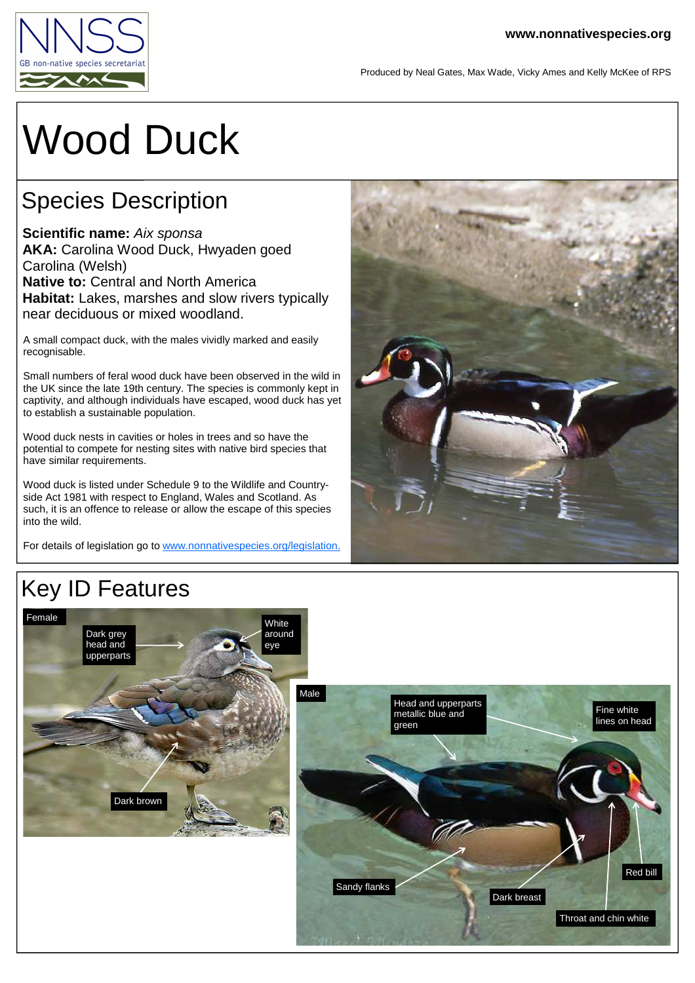

Produced by Neal Gates, Max Wade, Vicky Ames and Kelly McKee of RPS

# Wood Duck

### Species Description

**Scientific name:** Aix sponsa **AKA:** Carolina Wood Duck, Hwyaden goed Carolina (Welsh) **Native to: Central and North America Habitat:** Lakes, marshes and slow rivers typically near deciduous or mixed woodland.

A small compact duck, with the males vividly marked and easily recognisable.

Small numbers of feral wood duck have been observed in the wild in the UK since the late 19th century. The species is commonly kept in captivity, and although individuals have escaped, wood duck has yet to establish a sustainable population.

Wood duck nests in cavities or holes in trees and so have the potential to compete for nesting sites with native bird species that have similar requirements.

Wood duck is listed under Schedule 9 to the Wildlife and Countryside Act 1981 with respect to England, Wales and Scotland. As such, it is an offence to release or allow the escape of this species into the wild.

For details of legislation go to www.nonnativespecies.org/legislation.



#### Key ID Features Female Dark grey head and **White** eye